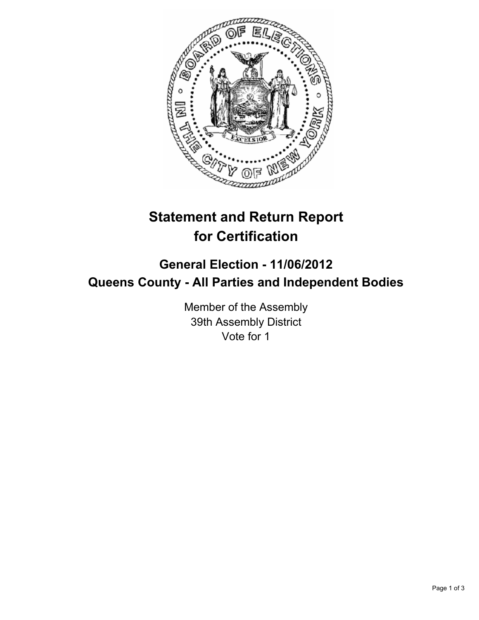

# **Statement and Return Report for Certification**

## **General Election - 11/06/2012 Queens County - All Parties and Independent Bodies**

Member of the Assembly 39th Assembly District Vote for 1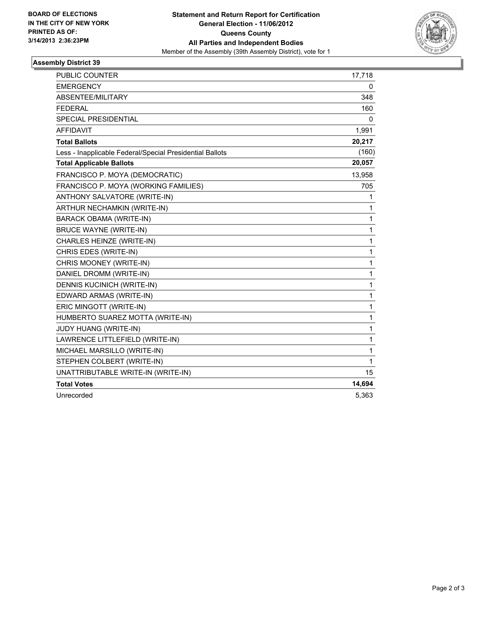

### **Assembly District 39**

| PUBLIC COUNTER                                           | 17,718 |
|----------------------------------------------------------|--------|
| <b>EMERGENCY</b>                                         | 0      |
| ABSENTEE/MILITARY                                        | 348    |
| <b>FEDERAL</b>                                           | 160    |
| <b>SPECIAL PRESIDENTIAL</b>                              | 0      |
| <b>AFFIDAVIT</b>                                         | 1,991  |
| <b>Total Ballots</b>                                     | 20,217 |
| Less - Inapplicable Federal/Special Presidential Ballots | (160)  |
| <b>Total Applicable Ballots</b>                          | 20,057 |
| FRANCISCO P. MOYA (DEMOCRATIC)                           | 13,958 |
| FRANCISCO P. MOYA (WORKING FAMILIES)                     | 705    |
| ANTHONY SALVATORE (WRITE-IN)                             | 1      |
| ARTHUR NECHAMKIN (WRITE-IN)                              | 1      |
| <b>BARACK OBAMA (WRITE-IN)</b>                           | 1      |
| <b>BRUCE WAYNE (WRITE-IN)</b>                            | 1      |
| CHARLES HEINZE (WRITE-IN)                                | 1      |
| CHRIS EDES (WRITE-IN)                                    | 1      |
| CHRIS MOONEY (WRITE-IN)                                  | 1      |
| DANIEL DROMM (WRITE-IN)                                  | 1      |
| DENNIS KUCINICH (WRITE-IN)                               | 1      |
| EDWARD ARMAS (WRITE-IN)                                  | 1      |
| ERIC MINGOTT (WRITE-IN)                                  | 1      |
| HUMBERTO SUAREZ MOTTA (WRITE-IN)                         | 1      |
| JUDY HUANG (WRITE-IN)                                    | 1      |
| LAWRENCE LITTLEFIELD (WRITE-IN)                          | 1      |
| MICHAEL MARSILLO (WRITE-IN)                              | 1      |
| STEPHEN COLBERT (WRITE-IN)                               | 1      |
| UNATTRIBUTABLE WRITE-IN (WRITE-IN)                       | 15     |
| <b>Total Votes</b>                                       | 14,694 |
| Unrecorded                                               | 5,363  |